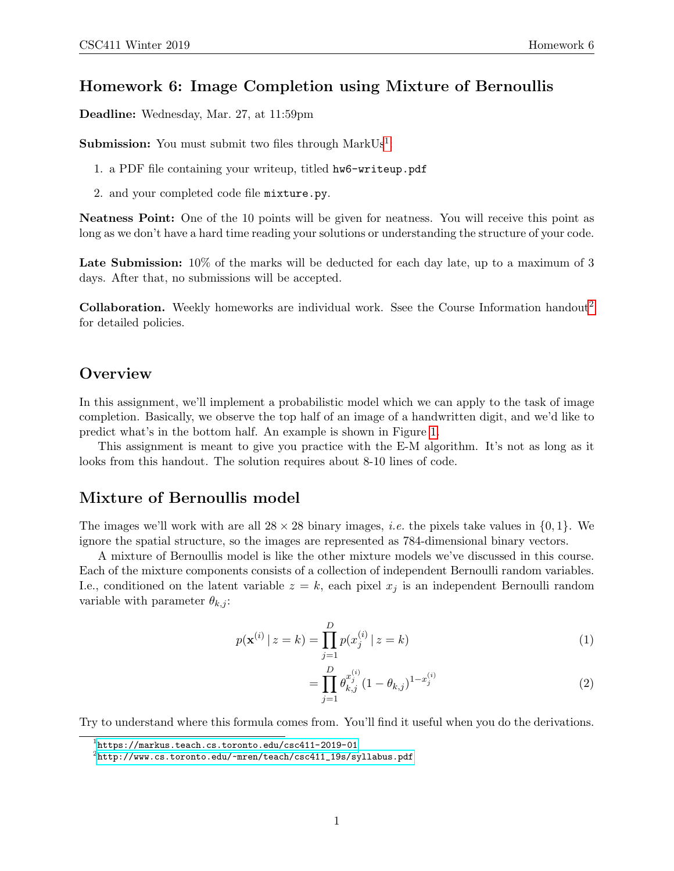### Homework 6: Image Completion using Mixture of Bernoullis

Deadline: Wednesday, Mar. 27, at 11:59pm

**Submission:** You must submit two files through  $MarkUs^1$  $MarkUs^1$ :

- 1. a PDF file containing your writeup, titled hw6-writeup.pdf
- 2. and your completed code file mixture.py.

Neatness Point: One of the 10 points will be given for neatness. You will receive this point as long as we don't have a hard time reading your solutions or understanding the structure of your code.

Late Submission:  $10\%$  of the marks will be deducted for each day late, up to a maximum of 3 days. After that, no submissions will be accepted.

Collaboration. Weekly homeworks are individual work. Ssee the Course Information handout<sup>[2](#page-0-1)</sup> for detailed policies.

#### **Overview**

In this assignment, we'll implement a probabilistic model which we can apply to the task of image completion. Basically, we observe the top half of an image of a handwritten digit, and we'd like to predict what's in the bottom half. An example is shown in Figure [1.](#page-1-0)

This assignment is meant to give you practice with the E-M algorithm. It's not as long as it looks from this handout. The solution requires about 8-10 lines of code.

#### Mixture of Bernoullis model

The images we'll work with are all  $28 \times 28$  binary images, *i.e.* the pixels take values in  $\{0, 1\}$ . We ignore the spatial structure, so the images are represented as 784-dimensional binary vectors.

A mixture of Bernoullis model is like the other mixture models we've discussed in this course. Each of the mixture components consists of a collection of independent Bernoulli random variables. I.e., conditioned on the latent variable  $z = k$ , each pixel  $x_j$  is an independent Bernoulli random variable with parameter  $\theta_{k,j}$ :

$$
p(\mathbf{x}^{(i)} \mid z = k) = \prod_{j=1}^{D} p(x_j^{(i)} \mid z = k)
$$
\n(1)

<span id="page-0-2"></span>
$$
= \prod_{j=1}^{D} \theta_{k,j}^{x_j^{(i)}} (1 - \theta_{k,j})^{1 - x_j^{(i)}} \tag{2}
$$

Try to understand where this formula comes from. You'll find it useful when you do the derivations.

<span id="page-0-0"></span> $^{\rm 1}$ https://markus.teach.cs.toronto.edu/csc $411$ -2019-01

<span id="page-0-1"></span> $^{2}$ [http://www.cs.toronto.edu/~mren/teach/csc411\\_19s/syllabus.pdf](http://www.cs.toronto.edu/~mren/teach/csc411_19s/syllabus.pdf)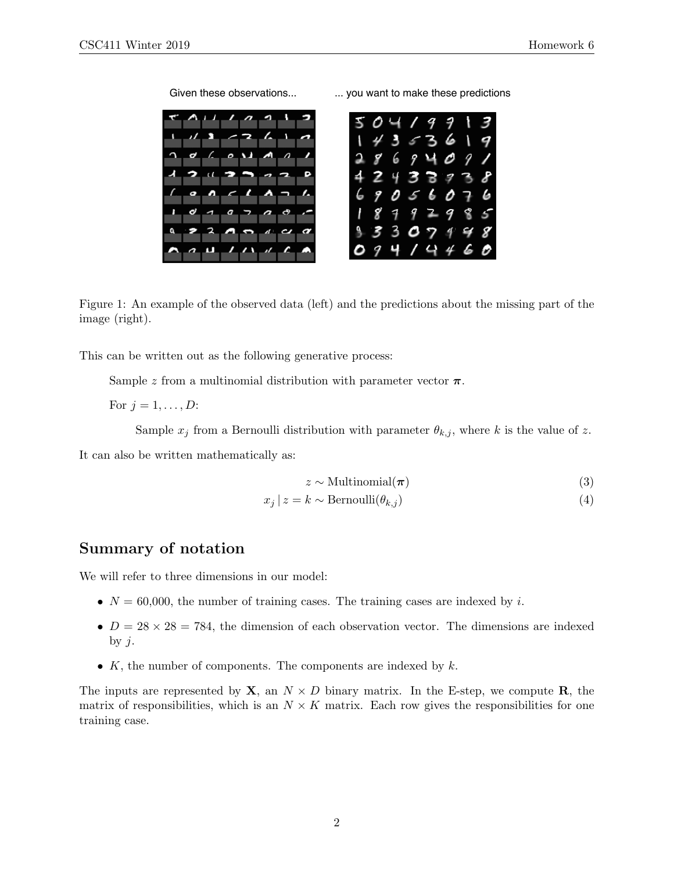э 6 8 9 2 4 Б 9 O 5 4 9 3 5 ο 9 ပ

Given these observations... ... you want to make these predictions

<span id="page-1-0"></span>Figure 1: An example of the observed data (left) and the predictions about the missing part of the image (right).

This can be written out as the following generative process:

Sample z from a multinomial distribution with parameter vector  $\pi$ .

For  $j = 1, \ldots, D$ :

Sample  $x_i$  from a Bernoulli distribution with parameter  $\theta_{k,i}$ , where k is the value of z.

It can also be written mathematically as:

$$
z \sim \text{Multinomial}(\boldsymbol{\pi})\tag{3}
$$

$$
x_j \mid z = k \sim \text{Bernoulli}(\theta_{k,j}) \tag{4}
$$

## Summary of notation

We will refer to three dimensions in our model:

- $N = 60,000$ , the number of training cases. The training cases are indexed by i.
- $D = 28 \times 28 = 784$ , the dimension of each observation vector. The dimensions are indexed by  $j$ .
- $K$ , the number of components. The components are indexed by  $k$ .

The inputs are represented by  $X$ , an  $N \times D$  binary matrix. In the E-step, we compute R, the matrix of responsibilities, which is an  $N \times K$  matrix. Each row gives the responsibilities for one training case.

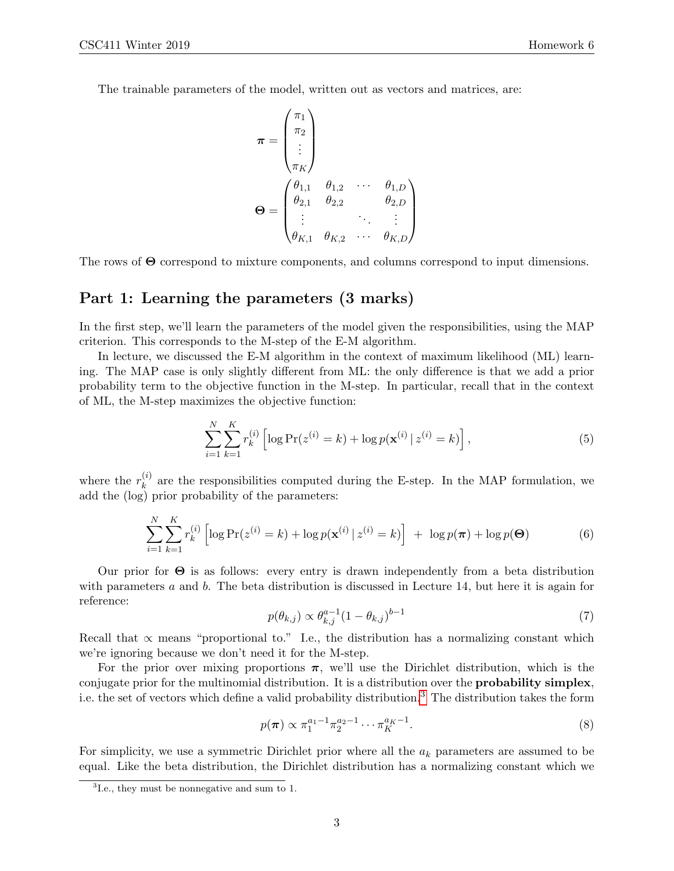The trainable parameters of the model, written out as vectors and matrices, are:

$$
\boldsymbol{\pi} = \begin{pmatrix} \pi_1 \\ \pi_2 \\ \vdots \\ \pi_K \end{pmatrix}
$$

$$
\boldsymbol{\Theta} = \begin{pmatrix} \theta_{1,1} & \theta_{1,2} & \cdots & \theta_{1,D} \\ \theta_{2,1} & \theta_{2,2} & & \theta_{2,D} \\ \vdots & \ddots & \vdots \\ \theta_{K,1} & \theta_{K,2} & \cdots & \theta_{K,D} \end{pmatrix}
$$

The rows of Θ correspond to mixture components, and columns correspond to input dimensions.

#### Part 1: Learning the parameters (3 marks)

In the first step, we'll learn the parameters of the model given the responsibilities, using the MAP criterion. This corresponds to the M-step of the E-M algorithm.

In lecture, we discussed the E-M algorithm in the context of maximum likelihood (ML) learning. The MAP case is only slightly different from ML: the only difference is that we add a prior probability term to the objective function in the M-step. In particular, recall that in the context of ML, the M-step maximizes the objective function:

$$
\sum_{i=1}^{N} \sum_{k=1}^{K} r_k^{(i)} \left[ \log \Pr(z^{(i)} = k) + \log p(\mathbf{x}^{(i)} \mid z^{(i)} = k) \right],\tag{5}
$$

where the  $r_k^{(i)}$  $\kappa_k^{(i)}$  are the responsibilities computed during the E-step. In the MAP formulation, we add the (log) prior probability of the parameters:

<span id="page-2-1"></span>
$$
\sum_{i=1}^{N} \sum_{k=1}^{K} r_k^{(i)} \left[ \log \Pr(z^{(i)} = k) + \log p(\mathbf{x}^{(i)} | z^{(i)} = k) \right] + \log p(\boldsymbol{\pi}) + \log p(\boldsymbol{\Theta}) \tag{6}
$$

Our prior for Θ is as follows: every entry is drawn independently from a beta distribution with parameters  $a$  and  $b$ . The beta distribution is discussed in Lecture 14, but here it is again for reference:

$$
p(\theta_{k,j}) \propto \theta_{k,j}^{a-1} (1 - \theta_{k,j})^{b-1}
$$
 (7)

Recall that  $\alpha$  means "proportional to." I.e., the distribution has a normalizing constant which we're ignoring because we don't need it for the M-step.

For the prior over mixing proportions  $\pi$ , we'll use the Dirichlet distribution, which is the conjugate prior for the multinomial distribution. It is a distribution over the probability simplex, i.e. the set of vectors which define a valid probability distribution.[3](#page-2-0) The distribution takes the form

$$
p(\boldsymbol{\pi}) \propto \pi_1^{a_1 - 1} \pi_2^{a_2 - 1} \cdots \pi_K^{a_K - 1}.
$$
 (8)

For simplicity, we use a symmetric Dirichlet prior where all the  $a_k$  parameters are assumed to be equal. Like the beta distribution, the Dirichlet distribution has a normalizing constant which we

<span id="page-2-0"></span><sup>3</sup> I.e., they must be nonnegative and sum to 1.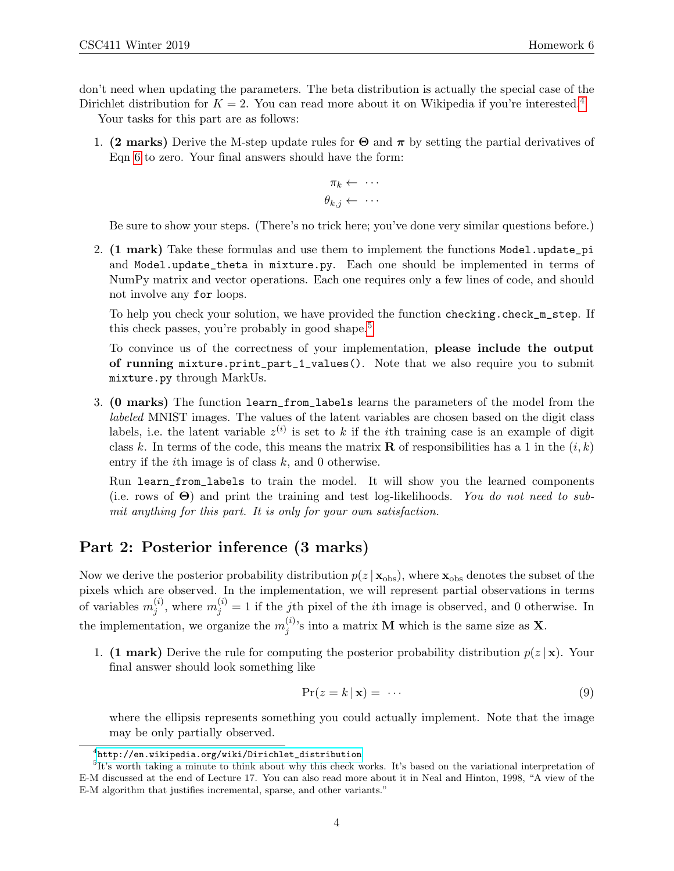don't need when updating the parameters. The beta distribution is actually the special case of the

Dirichlet distribution for  $K = 2$ . You can read more about it on Wikipedia if you're interested.<sup>[4](#page-3-0)</sup> Your tasks for this part are as follows:

1. (2 marks) Derive the M-step update rules for  $\Theta$  and  $\pi$  by setting the partial derivatives of Eqn [6](#page-2-1) to zero. Your final answers should have the form:

$$
\pi_k \leftarrow \cdots
$$

$$
\theta_{k,j} \leftarrow \cdots
$$

Be sure to show your steps. (There's no trick here; you've done very similar questions before.)

2. (1 mark) Take these formulas and use them to implement the functions Model.update pi and Model.update\_theta in mixture.py. Each one should be implemented in terms of NumPy matrix and vector operations. Each one requires only a few lines of code, and should not involve any for loops.

To help you check your solution, we have provided the function checking.check\_m\_step. If this check passes, you're probably in good shape.<sup>[5](#page-3-1)</sup>

To convince us of the correctness of your implementation, please include the output of running mixture.print\_part\_1\_values(). Note that we also require you to submit mixture.py through MarkUs.

3. (0 marks) The function learn\_from\_labels learns the parameters of the model from the labeled MNIST images. The values of the latent variables are chosen based on the digit class labels, i.e. the latent variable  $z^{(i)}$  is set to k if the *i*th training case is an example of digit class k. In terms of the code, this means the matrix **R** of responsibilities has a 1 in the  $(i, k)$ entry if the *i*th image is of class  $k$ , and 0 otherwise.

Run learn\_from\_labels to train the model. It will show you the learned components (i.e. rows of  $\Theta$ ) and print the training and test log-likelihoods. You do not need to submit anything for this part. It is only for your own satisfaction.

## Part 2: Posterior inference (3 marks)

Now we derive the posterior probability distribution  $p(z | \mathbf{x}_{obs})$ , where  $\mathbf{x}_{obs}$  denotes the subset of the pixels which are observed. In the implementation, we will represent partial observations in terms of variables  $m_i^{(i)}$  $j^{(i)}$ , where  $m_j^{(i)} = 1$  if the jth pixel of the *i*th image is observed, and 0 otherwise. In the implementation, we organize the  $m_i^{(i)}$  $j^{(i)}$ 's into a matrix **M** which is the same size as **X**.

1. (1 mark) Derive the rule for computing the posterior probability distribution  $p(z|\mathbf{x})$ . Your final answer should look something like

$$
Pr(z = k | \mathbf{x}) = \cdots \tag{9}
$$

where the ellipsis represents something you could actually implement. Note that the image may be only partially observed.

<span id="page-3-1"></span><span id="page-3-0"></span> $^4$ [http://en.wikipedia.org/wiki/Dirichlet\\_distribution](http://en.wikipedia.org/wiki/Dirichlet_distribution)

<sup>&</sup>lt;sup>5</sup>It's worth taking a minute to think about why this check works. It's based on the variational interpretation of E-M discussed at the end of Lecture 17. You can also read more about it in Neal and Hinton, 1998, "A view of the E-M algorithm that justifies incremental, sparse, and other variants."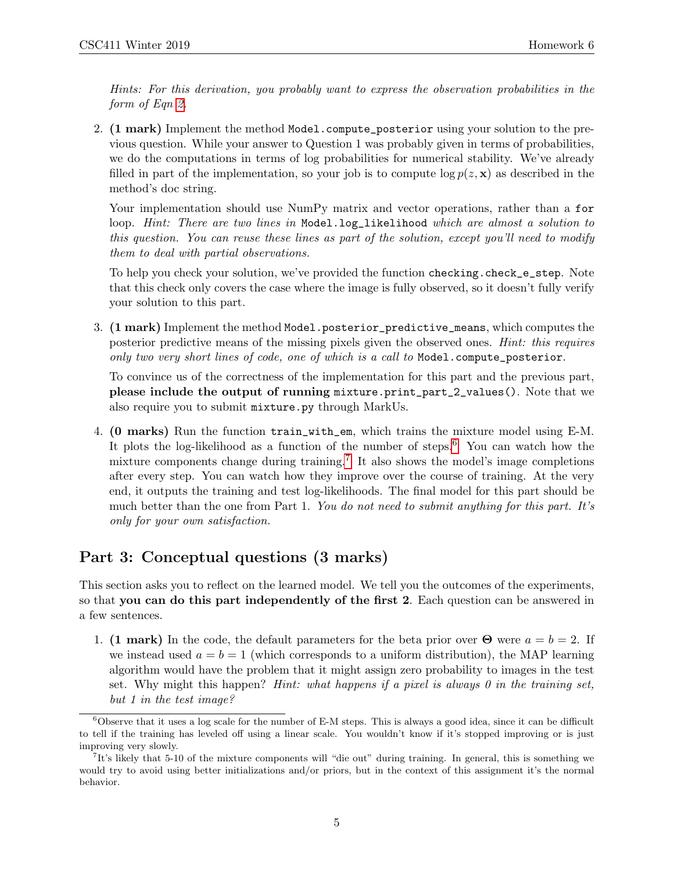Hints: For this derivation, you probably want to express the observation probabilities in the form of Eqn [2.](#page-0-2)

2. (1 mark) Implement the method Model.compute\_posterior using your solution to the previous question. While your answer to Question 1 was probably given in terms of probabilities, we do the computations in terms of log probabilities for numerical stability. We've already filled in part of the implementation, so your job is to compute  $\log p(z, \mathbf{x})$  as described in the method's doc string.

Your implementation should use NumPy matrix and vector operations, rather than a for loop. Hint: There are two lines in Model.log\_likelihood which are almost a solution to this question. You can reuse these lines as part of the solution, except you'll need to modify them to deal with partial observations.

To help you check your solution, we've provided the function checking.check\_e\_step. Note that this check only covers the case where the image is fully observed, so it doesn't fully verify your solution to this part.

3. (1 mark) Implement the method Model.posterior\_predictive\_means, which computes the posterior predictive means of the missing pixels given the observed ones. Hint: this requires only two very short lines of code, one of which is a call to Model.compute\_posterior.

To convince us of the correctness of the implementation for this part and the previous part, please include the output of running mixture.print\_part\_2\_values(). Note that we also require you to submit mixture.py through MarkUs.

4. (0 marks) Run the function train\_with\_em, which trains the mixture model using E-M. It plots the log-likelihood as a function of the number of steps.<sup>[6](#page-4-0)</sup> You can watch how the mixture components change during training.<sup>[7](#page-4-1)</sup> It also shows the model's image completions after every step. You can watch how they improve over the course of training. At the very end, it outputs the training and test log-likelihoods. The final model for this part should be much better than the one from Part 1. You do not need to submit anything for this part. It's only for your own satisfaction.

# Part 3: Conceptual questions (3 marks)

This section asks you to reflect on the learned model. We tell you the outcomes of the experiments, so that you can do this part independently of the first 2. Each question can be answered in a few sentences.

1. (1 mark) In the code, the default parameters for the beta prior over  $\Theta$  were  $a = b = 2$ . If we instead used  $a = b = 1$  (which corresponds to a uniform distribution), the MAP learning algorithm would have the problem that it might assign zero probability to images in the test set. Why might this happen? Hint: what happens if a pixel is always 0 in the training set, but 1 in the test image?

<span id="page-4-0"></span> $6$ Observe that it uses a log scale for the number of E-M steps. This is always a good idea, since it can be difficult to tell if the training has leveled off using a linear scale. You wouldn't know if it's stopped improving or is just improving very slowly.

<span id="page-4-1"></span><sup>7</sup> It's likely that 5-10 of the mixture components will "die out" during training. In general, this is something we would try to avoid using better initializations and/or priors, but in the context of this assignment it's the normal behavior.